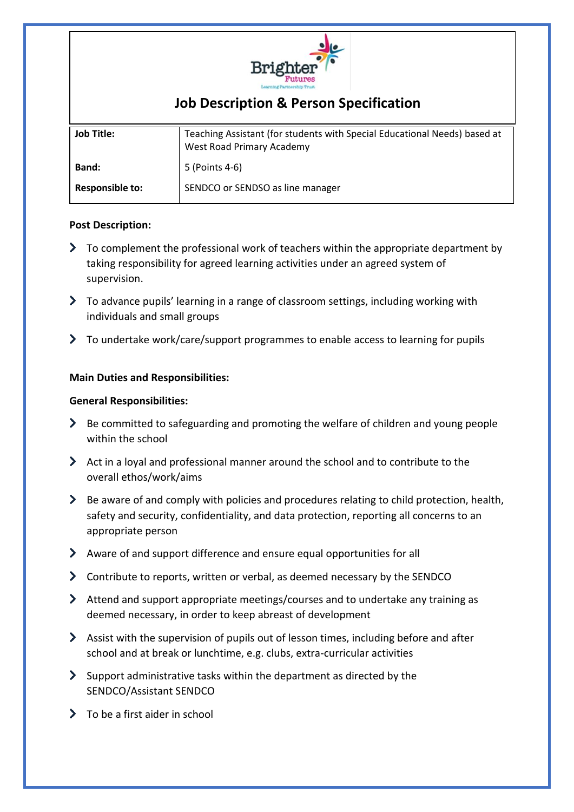

# **Job Description & Person Specification**

| <b>Job Title:</b>      | Teaching Assistant (for students with Special Educational Needs) based at<br>West Road Primary Academy |
|------------------------|--------------------------------------------------------------------------------------------------------|
| <b>Band:</b>           | 5 (Points 4-6)                                                                                         |
| <b>Responsible to:</b> | SENDCO or SENDSO as line manager                                                                       |

# **Post Description:**

- $\triangleright$  To complement the professional work of teachers within the appropriate department by taking responsibility for agreed learning activities under an agreed system of supervision.
- To advance pupils' learning in a range of classroom settings, including working with individuals and small groups
- To undertake work/care/support programmes to enable access to learning for pupils

# **Main Duties and Responsibilities:**

## **General Responsibilities:**

- $\blacktriangleright$  Be committed to safeguarding and promoting the welfare of children and young people within the school
- $\blacktriangleright$  Act in a loyal and professional manner around the school and to contribute to the overall ethos/work/aims
- $\triangleright$  Be aware of and comply with policies and procedures relating to child protection, health, safety and security, confidentiality, and data protection, reporting all concerns to an appropriate person
- Aware of and support difference and ensure equal opportunities for all
- Contribute to reports, written or verbal, as deemed necessary by the SENDCO
- Attend and support appropriate meetings/courses and to undertake any training as deemed necessary, in order to keep abreast of development
- Assist with the supervision of pupils out of lesson times, including before and after school and at break or lunchtime, e.g. clubs, extra-curricular activities
- $\sum$  Support administrative tasks within the department as directed by the SENDCO/Assistant SENDCO
- $\sum$  To be a first aider in school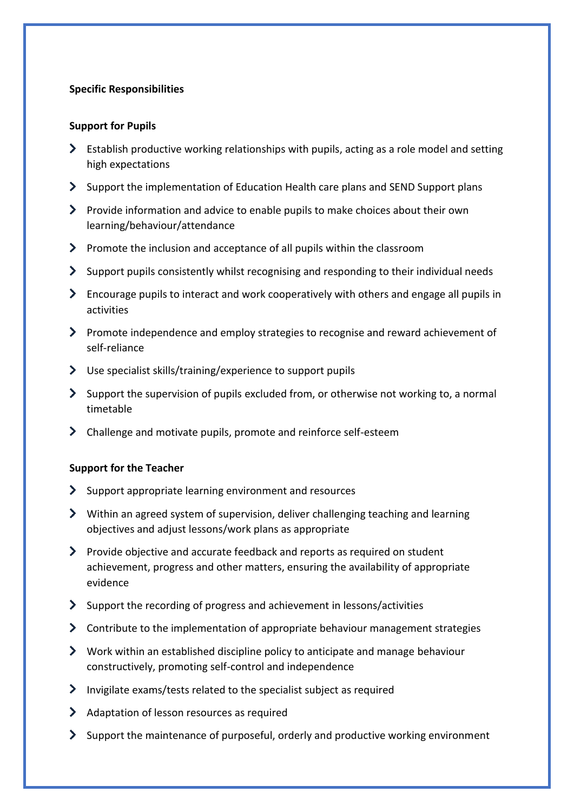# **Specific Responsibilities**

#### **Support for Pupils**

- $\triangleright$  Establish productive working relationships with pupils, acting as a role model and setting high expectations
- $\sum$  Support the implementation of Education Health care plans and SEND Support plans
- $\triangleright$  Provide information and advice to enable pupils to make choices about their own learning/behaviour/attendance
- $\triangleright$  Promote the inclusion and acceptance of all pupils within the classroom
- $\blacktriangleright$  Support pupils consistently whilst recognising and responding to their individual needs
- Encourage pupils to interact and work cooperatively with others and engage all pupils in activities
- Promote independence and employ strategies to recognise and reward achievement of self-reliance
- Use specialist skills/training/experience to support pupils
- $\blacktriangleright$  Support the supervision of pupils excluded from, or otherwise not working to, a normal timetable
- Challenge and motivate pupils, promote and reinforce self-esteem

# **Support for the Teacher**

- $\sum$  Support appropriate learning environment and resources
- $\blacktriangleright$  Within an agreed system of supervision, deliver challenging teaching and learning objectives and adjust lessons/work plans as appropriate
- **Provide objective and accurate feedback and reports as required on student** achievement, progress and other matters, ensuring the availability of appropriate evidence
- Support the recording of progress and achievement in lessons/activities
- $\triangleright$  Contribute to the implementation of appropriate behaviour management strategies
- $\triangleright$  Work within an established discipline policy to anticipate and manage behaviour constructively, promoting self-control and independence
- $\sum$  Invigilate exams/tests related to the specialist subject as required
- Adaptation of lesson resources as required
- $\geq$  Support the maintenance of purposeful, orderly and productive working environment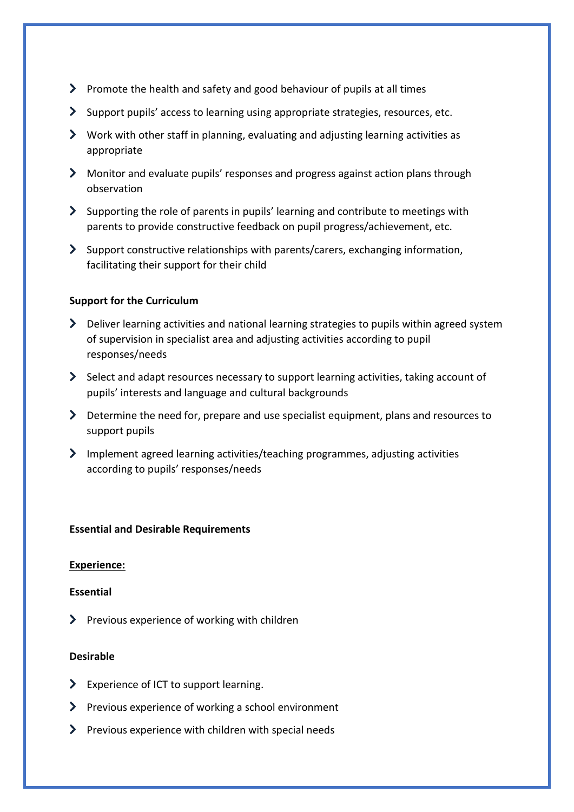- Promote the health and safety and good behaviour of pupils at all times
- Support pupils' access to learning using appropriate strategies, resources, etc.
- $\blacktriangleright$  Work with other staff in planning, evaluating and adjusting learning activities as appropriate
- Monitor and evaluate pupils' responses and progress against action plans through observation
- $\blacktriangleright$  Supporting the role of parents in pupils' learning and contribute to meetings with parents to provide constructive feedback on pupil progress/achievement, etc.
- Support constructive relationships with parents/carers, exchanging information, facilitating their support for their child

# **Support for the Curriculum**

- Deliver learning activities and national learning strategies to pupils within agreed system of supervision in specialist area and adjusting activities according to pupil responses/needs
- Select and adapt resources necessary to support learning activities, taking account of pupils' interests and language and cultural backgrounds
- Determine the need for, prepare and use specialist equipment, plans and resources to support pupils
- Implement agreed learning activities/teaching programmes, adjusting activities according to pupils' responses/needs

# **Essential and Desirable Requirements**

# **Experience:**

#### **Essential**

 $\sum$  Previous experience of working with children

# **Desirable**

- > Experience of ICT to support learning.
- > Previous experience of working a school environment
- $\sum$  Previous experience with children with special needs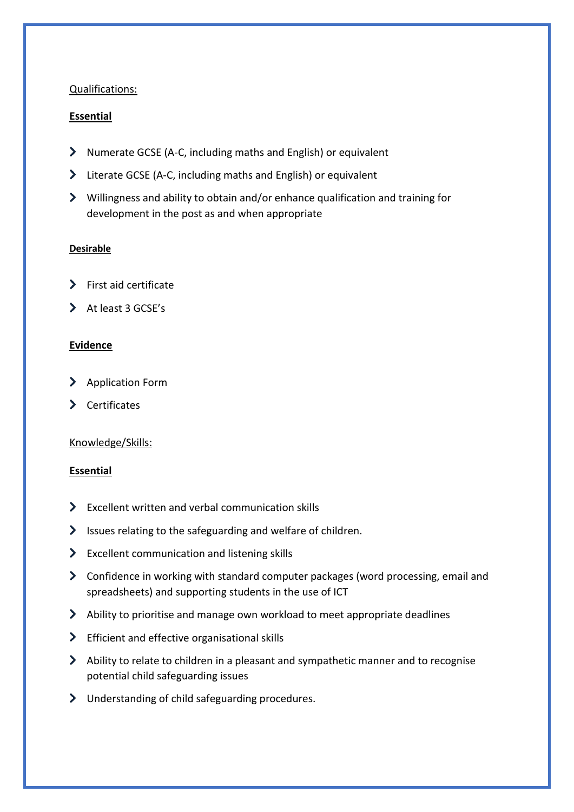# Qualifications:

# **Essential**

- Numerate GCSE (A-C, including maths and English) or equivalent
- Literate GCSE (A-C, including maths and English) or equivalent
- Willingness and ability to obtain and/or enhance qualification and training for development in the post as and when appropriate

# **Desirable**

- $\blacktriangleright$  First aid certificate
- $\blacktriangleright$  At least 3 GCSE's

# **Evidence**

- > Application Form
- > Certificates

# Knowledge/Skills:

#### **Essential**

- Excellent written and verbal communication skills
- $\blacktriangleright$  Issues relating to the safeguarding and welfare of children.
- S Excellent communication and listening skills
- Confidence in working with standard computer packages (word processing, email and spreadsheets) and supporting students in the use of ICT
- Ability to prioritise and manage own workload to meet appropriate deadlines
- S Efficient and effective organisational skills
- $\blacktriangleright$  Ability to relate to children in a pleasant and sympathetic manner and to recognise potential child safeguarding issues
- Understanding of child safeguarding procedures.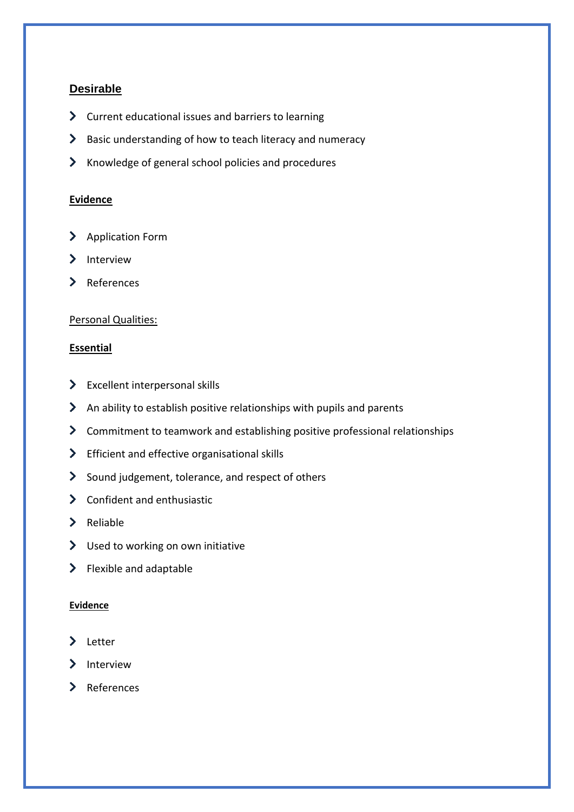# **Desirable**

- S Current educational issues and barriers to learning
- > Basic understanding of how to teach literacy and numeracy
- In Knowledge of general school policies and procedures

## **Evidence**

- > Application Form
- $\sum$  Interview
- > References

# Personal Qualities:

# **Essential**

- $\sum$  Excellent interpersonal skills
- $\blacktriangleright$  An ability to establish positive relationships with pupils and parents
- Commitment to teamwork and establishing positive professional relationships
- > Efficient and effective organisational skills
- Sound judgement, tolerance, and respect of others
- > Confident and enthusiastic
- $\sum$  Reliable
- > Used to working on own initiative
- $\blacktriangleright$  Flexible and adaptable

#### **Evidence**

- > Letter
- > Interview
- > References